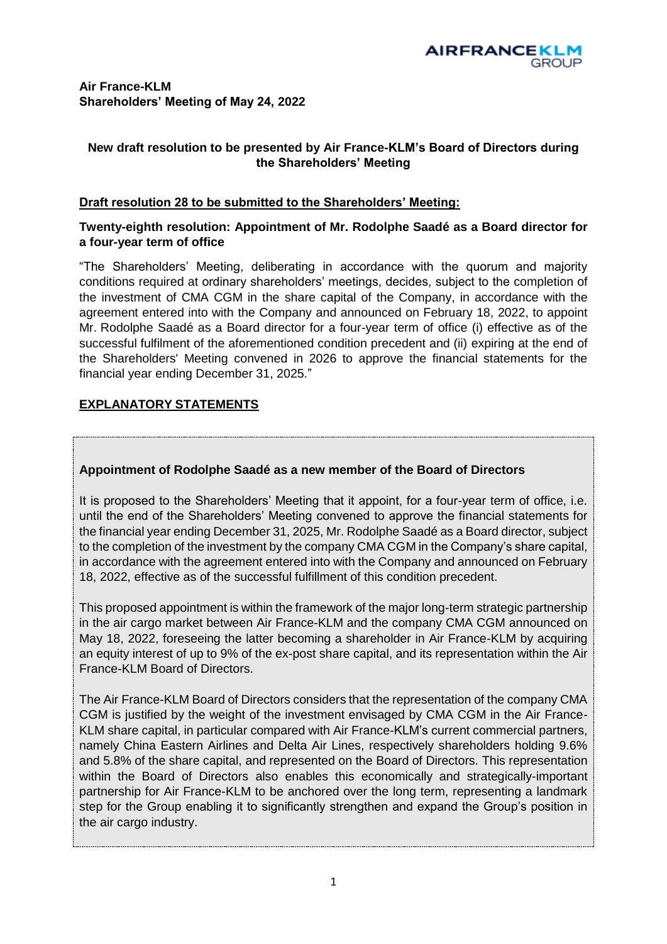# **Air France-KLM Shareholders' Meeting of May 24, 2022**

# **New draft resolution to be presented by Air France-KLM's Board of Directors during the Shareholders' Meeting**

# **Draft resolution 28 to be submitted to the Shareholders' Meeting:**

#### **Twenty-eighth resolution: Appointment of Mr. Rodolphe Saadé as a Board director for a four-year term of office**

"The Shareholders' Meeting, deliberating in accordance with the quorum and majority conditions required at ordinary shareholders' meetings, decides, subject to the completion of the investment of CMA CGM in the share capital of the Company, in accordance with the agreement entered into with the Company and announced on February 18, 2022, to appoint Mr. Rodolphe Saadé as a Board director for a four-year term of office (i) effective as of the successful fulfilment of the aforementioned condition precedent and (ii) expiring at the end of the Shareholders' Meeting convened in 2026 to approve the financial statements for the financial year ending December 31, 2025."

# **EXPLANATORY STATEMENTS**

### **Appointment of Rodolphe Saadé as a new member of the Board of Directors**

It is proposed to the Shareholders' Meeting that it appoint, for a four-year term of office, i.e. until the end of the Shareholders' Meeting convened to approve the financial statements for the financial year ending December 31, 2025, Mr. Rodolphe Saadé as a Board director, subject to the completion of the investment by the company CMA CGM in the Company's share capital, in accordance with the agreement entered into with the Company and announced on February 18, 2022, effective as of the successful fulfillment of this condition precedent.

This proposed appointment is within the framework of the major long-term strategic partnership in the air cargo market between Air France-KLM and the company CMA CGM announced on May 18, 2022, foreseeing the latter becoming a shareholder in Air France-KLM by acquiring an equity interest of up to 9% of the ex-post share capital, and its representation within the Air France-KLM Board of Directors.

The Air France-KLM Board of Directors considers that the representation of the company CMA CGM is justified by the weight of the investment envisaged by CMA CGM in the Air France-KLM share capital, in particular compared with Air France-KLM's current commercial partners, namely China Eastern Airlines and Delta Air Lines, respectively shareholders holding 9.6% and 5.8% of the share capital, and represented on the Board of Directors. This representation within the Board of Directors also enables this economically and strategically-important partnership for Air France-KLM to be anchored over the long term, representing a landmark step for the Group enabling it to significantly strengthen and expand the Group's position in the air cargo industry.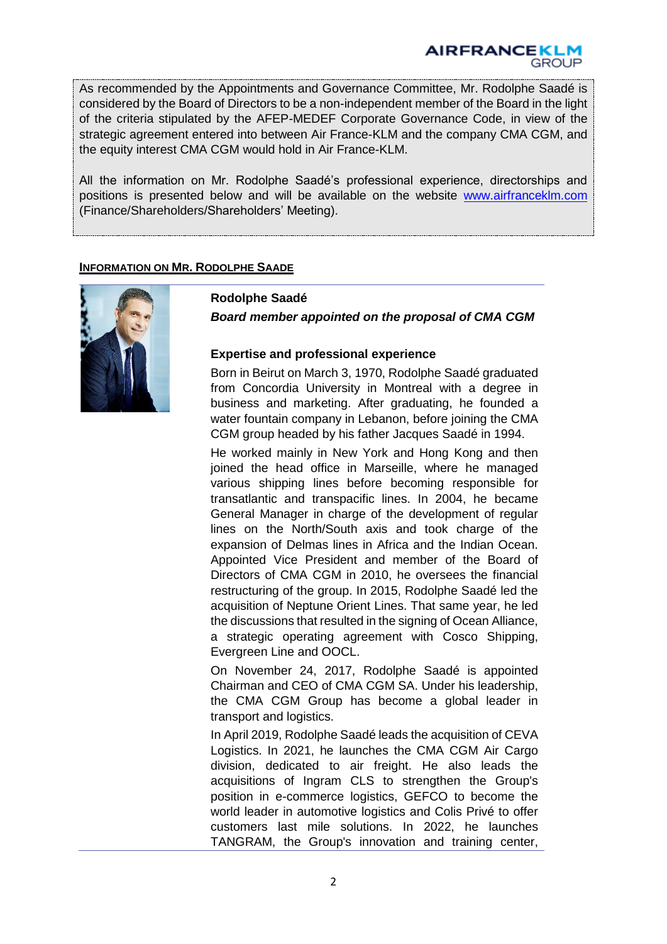As recommended by the Appointments and Governance Committee, Mr. Rodolphe Saadé is considered by the Board of Directors to be a non-independent member of the Board in the light of the criteria stipulated by the AFEP-MEDEF Corporate Governance Code, in view of the strategic agreement entered into between Air France-KLM and the company CMA CGM, and the equity interest CMA CGM would hold in Air France-KLM.

All the information on Mr. Rodolphe Saadé's professional experience, directorships and positions is presented below and will be available on the website [www.airfranceklm.com](http://www.airfranceklm.com/) (Finance/Shareholders/Shareholders' Meeting).

#### **INFORMATION ON MR. RODOLPHE SAADE**



#### **Rodolphe Saadé**

*Board member appointed on the proposal of CMA CGM*

#### **Expertise and professional experience**

Born in Beirut on March 3, 1970, Rodolphe Saadé graduated from Concordia University in Montreal with a degree in business and marketing. After graduating, he founded a water fountain company in Lebanon, before joining the CMA CGM group headed by his father Jacques Saadé in 1994.

He worked mainly in New York and Hong Kong and then joined the head office in Marseille, where he managed various shipping lines before becoming responsible for transatlantic and transpacific lines. In 2004, he became General Manager in charge of the development of regular lines on the North/South axis and took charge of the expansion of Delmas lines in Africa and the Indian Ocean. Appointed Vice President and member of the Board of Directors of CMA CGM in 2010, he oversees the financial restructuring of the group. In 2015, Rodolphe Saadé led the acquisition of Neptune Orient Lines. That same year, he led the discussions that resulted in the signing of Ocean Alliance, a strategic operating agreement with Cosco Shipping, Evergreen Line and OOCL.

On November 24, 2017, Rodolphe Saadé is appointed Chairman and CEO of CMA CGM SA. Under his leadership, the CMA CGM Group has become a global leader in transport and logistics.

In April 2019, Rodolphe Saadé leads the acquisition of CEVA Logistics. In 2021, he launches the CMA CGM Air Cargo division, dedicated to air freight. He also leads the acquisitions of Ingram CLS to strengthen the Group's position in e-commerce logistics, GEFCO to become the world leader in automotive logistics and Colis Privé to offer customers last mile solutions. In 2022, he launches TANGRAM, the Group's innovation and training center,